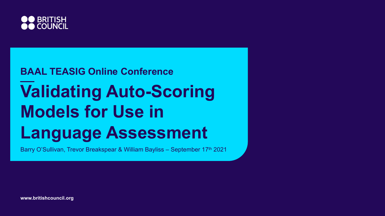

## **Validating Auto-Scoring Models for Use in Language Assessment BAAL TEASIG Online Conference**

Barry O'Sullivan, Trevor Breakspear & William Bayliss – September 17th 2021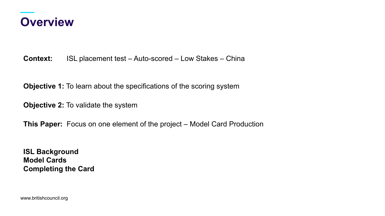

**Context:** ISL placement test – Auto-scored – Low Stakes – China

**Objective 1:** To learn about the specifications of the scoring system

**Objective 2:** To validate the system

**This Paper:** Focus on one element of the project – Model Card Production

**ISL Background Model Cards Completing the Card**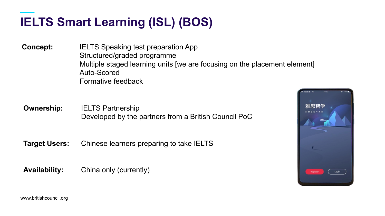### **IELTS Smart Learning (ISL) (BOS)**

**Concept:** IELTS Speaking test preparation App Structured/graded programme Multiple staged learning units [we are focusing on the placement element] Auto-Scored Formative feedback

**Ownership:** IELTS Partnership Developed by the partners from a British Council PoC

**Target Users:** Chinese learners preparing to take IELTS

**Availability:** China only (currently)

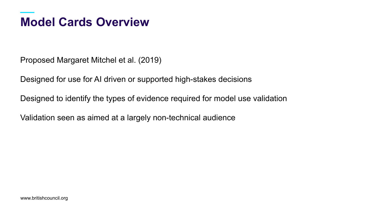#### **Model Cards Overview**

Proposed Margaret Mitchel et al. (2019)

Designed for use for AI driven or supported high-stakes decisions

Designed to identify the types of evidence required for model use validation

Validation seen as aimed at a largely non-technical audience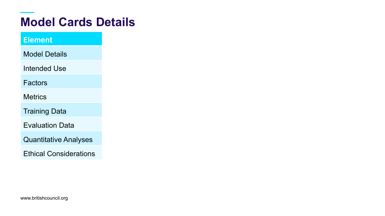#### **Model Cards Details**

#### Element

Model Details

Intended Use

**Factors** 

**Metrics** 

Training Data

Evaluation Data

Quantitative Analyses

Ethical Considerations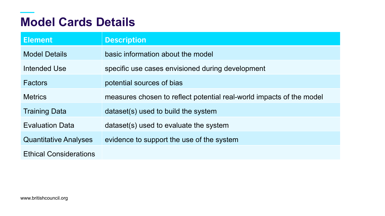#### **Model Cards Details**

| <b>Element</b>                | <b>Description</b>                                                   |
|-------------------------------|----------------------------------------------------------------------|
| <b>Model Details</b>          | basic information about the model                                    |
| Intended Use                  | specific use cases envisioned during development                     |
| <b>Factors</b>                | potential sources of bias                                            |
| <b>Metrics</b>                | measures chosen to reflect potential real-world impacts of the model |
| <b>Training Data</b>          | dataset(s) used to build the system                                  |
| <b>Evaluation Data</b>        | dataset(s) used to evaluate the system                               |
| <b>Quantitative Analyses</b>  | evidence to support the use of the system                            |
| <b>Ethical Considerations</b> |                                                                      |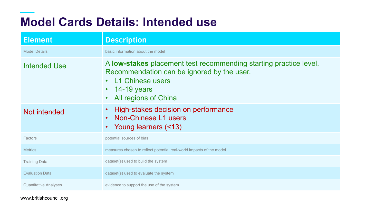#### **Model Cards Details: Intended use**

| <b>Element</b>               | <b>Description</b>                                                                                                                                                                        |
|------------------------------|-------------------------------------------------------------------------------------------------------------------------------------------------------------------------------------------|
| <b>Model Details</b>         | basic information about the model                                                                                                                                                         |
| Intended Use                 | A low-stakes placement test recommending starting practice level.<br>Recommendation can be ignored by the user.<br><b>L1 Chinese users</b><br>$\cdot$ 14-19 years<br>All regions of China |
| Not intended                 | High-stakes decision on performance<br>• Non-Chinese L1 users<br>• Young learners (<13)                                                                                                   |
| Factors                      | potential sources of bias                                                                                                                                                                 |
| <b>Metrics</b>               | measures chosen to reflect potential real-world impacts of the model                                                                                                                      |
| <b>Training Data</b>         | dataset(s) used to build the system                                                                                                                                                       |
| <b>Evaluation Data</b>       | dataset(s) used to evaluate the system                                                                                                                                                    |
| <b>Quantitative Analyses</b> | evidence to support the use of the system                                                                                                                                                 |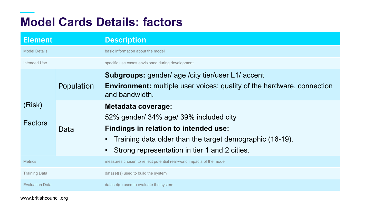#### **Model Cards Details: factors**

| <b>Element</b>           |            | <b>Description</b>                                                                                                                                                                                                        |
|--------------------------|------------|---------------------------------------------------------------------------------------------------------------------------------------------------------------------------------------------------------------------------|
| <b>Model Details</b>     |            | basic information about the model                                                                                                                                                                                         |
| Intended Use             |            | specific use cases envisioned during development                                                                                                                                                                          |
|                          | Population | <b>Subgroups:</b> gender/ age / city tier/user L1/ accent<br><b>Environment:</b> multiple user voices; quality of the hardware, connection<br>and bandwidth.                                                              |
| (Risk)<br><b>Factors</b> | Data       | <b>Metadata coverage:</b><br>52% gender/ 34% age/ 39% included city<br>Findings in relation to intended use:<br>Training data older than the target demographic (16-19).<br>Strong representation in tier 1 and 2 cities. |
| <b>Metrics</b>           |            | measures chosen to reflect potential real-world impacts of the model                                                                                                                                                      |
| <b>Training Data</b>     |            | dataset(s) used to build the system                                                                                                                                                                                       |
| <b>Evaluation Data</b>   |            | dataset(s) used to evaluate the system                                                                                                                                                                                    |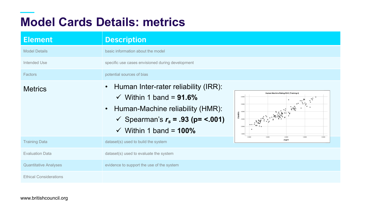#### **Model Cards Details: metrics**

| <b>Element</b>                | <b>Description</b>                                                                                                                                                                           |                                                                                                           |
|-------------------------------|----------------------------------------------------------------------------------------------------------------------------------------------------------------------------------------------|-----------------------------------------------------------------------------------------------------------|
| <b>Model Details</b>          | basic information about the model                                                                                                                                                            |                                                                                                           |
| Intended Use                  | specific use cases envisioned during development                                                                                                                                             |                                                                                                           |
| Factors                       | potential sources of bias                                                                                                                                                                    |                                                                                                           |
| <b>Metrics</b>                | Human Inter-rater reliability (IRR):<br>$\checkmark$ Within 1 band = 91.6%<br>• Human-Machine reliability (HMR):<br>✓ Spearman's $r_s$ = .93 (p= <.001)<br>$\checkmark$ Within 1 band = 100% | Human Machine Rating RHO (Training 4)<br>6.0000<br>5,0000<br>$\mathcal{E}_{\mathcal{E}}$<br><b>T4HRFA</b> |
| <b>Training Data</b>          | dataset(s) used to build the system                                                                                                                                                          | 2,0000<br>3,0000<br>4.0000<br>5.0000<br>6.0000<br>IT4iFT                                                  |
| <b>Evaluation Data</b>        | dataset(s) used to evaluate the system                                                                                                                                                       |                                                                                                           |
| <b>Quantitative Analyses</b>  | evidence to support the use of the system                                                                                                                                                    |                                                                                                           |
| <b>Ethical Considerations</b> |                                                                                                                                                                                              |                                                                                                           |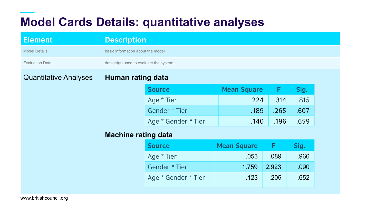#### **Model Cards Details: quantitative analyses**

| <b>Element</b>               | <b>Description</b>                     |                     |                    |       |      |
|------------------------------|----------------------------------------|---------------------|--------------------|-------|------|
| <b>Model Details</b>         | basic information about the model      |                     |                    |       |      |
| <b>Evaluation Data</b>       | dataset(s) used to evaluate the system |                     |                    |       |      |
| <b>Quantitative Analyses</b> | <b>Human rating data</b>               |                     |                    |       |      |
|                              |                                        | <b>Source</b>       | <b>Mean Square</b> | F     | Sig. |
|                              |                                        | Age * Tier          | .224               | .314  | .815 |
|                              |                                        | Gender * Tier       | .189               | .265  | .607 |
|                              |                                        | Age * Gender * Tier | .140               | .196  | .659 |
|                              | <b>Machine rating data</b>             |                     |                    |       |      |
|                              |                                        | <b>Source</b>       | <b>Mean Square</b> | F     | Sig. |
|                              |                                        | Age * Tier          | .053               | .089  | .966 |
|                              |                                        | Gender * Tier       | 1.759              | 2.923 | .090 |
|                              |                                        | Age * Gender * Tier | .123               | .205  | .652 |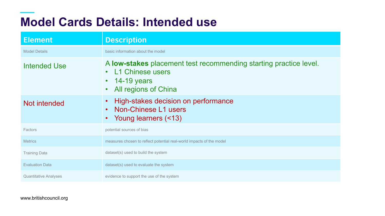#### **Model Cards Details: Intended use**

| <b>Element</b>               | <b>Description</b>                                                                                                                     |
|------------------------------|----------------------------------------------------------------------------------------------------------------------------------------|
| <b>Model Details</b>         | basic information about the model                                                                                                      |
| <b>Intended Use</b>          | A low-stakes placement test recommending starting practice level.<br>• L1 Chinese users<br>$\cdot$ 14-19 years<br>All regions of China |
| Not intended                 | High-stakes decision on performance<br>Non-Chinese L1 users<br>Young learners (<13)                                                    |
| Factors                      | potential sources of bias                                                                                                              |
| <b>Metrics</b>               | measures chosen to reflect potential real-world impacts of the model                                                                   |
| <b>Training Data</b>         | dataset(s) used to build the system                                                                                                    |
| <b>Evaluation Data</b>       | dataset(s) used to evaluate the system                                                                                                 |
| <b>Quantitative Analyses</b> | evidence to support the use of the system                                                                                              |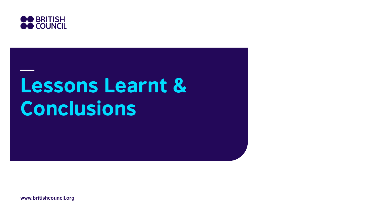

## Lessons Learnt & Conclusions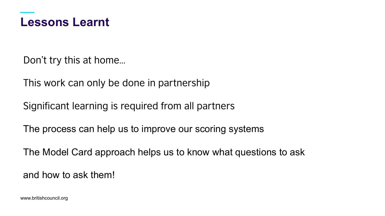

Don't try this at home…

This work can only be done in partnership

Significant learning is required from all partners

The process can help us to improve our scoring systems

The Model Card approach helps us to know what questions to ask

and how to ask them!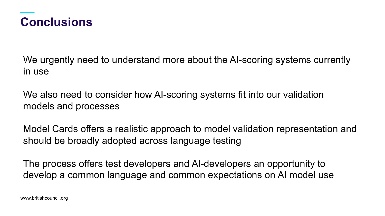

We urgently need to understand more about the AI-scoring systems currently in use

We also need to consider how AI-scoring systems fit into our validation models and processes

Model Cards offers a realistic approach to model validation representation and should be broadly adopted across language testing

The process offers test developers and AI-developers an opportunity to develop a common language and common expectations on AI model use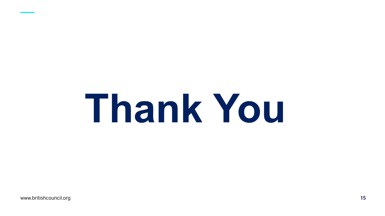# **Thank You**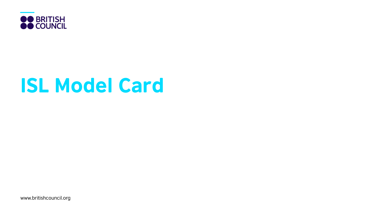

## ISL Model Card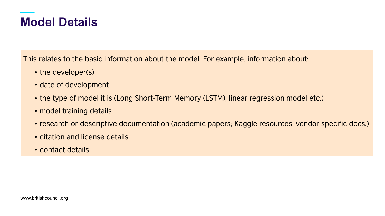#### **Model Details**

This relates to the basic information about the model. For example, information about:

- the developer(s)
- date of development
- the type of model it is (Long Short-Term Memory (LSTM), linear regression model etc.)
- model training details
- research or descriptive documentation (academic papers; Kaggle resources; vendor specific docs.)
- citation and license details
- contact details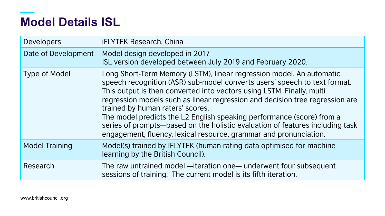#### **Model Details ISL**

| <b>Developers</b>     | <b>iFLYTEK Research, China</b>                                                                                                                                                                                                                                                                                                                                                                                                                                                                                                                                                |
|-----------------------|-------------------------------------------------------------------------------------------------------------------------------------------------------------------------------------------------------------------------------------------------------------------------------------------------------------------------------------------------------------------------------------------------------------------------------------------------------------------------------------------------------------------------------------------------------------------------------|
| Date of Development   | Model design developed in 2017<br>ISL version developed between July 2019 and February 2020.                                                                                                                                                                                                                                                                                                                                                                                                                                                                                  |
| Type of Model         | Long Short-Term Memory (LSTM), linear regression model. An automatic<br>speech recognition (ASR) sub-model converts users' speech to text format.<br>This output is then converted into vectors using LSTM. Finally, multi<br>regression models such as linear regression and decision tree regression are<br>trained by human raters' scores.<br>The model predicts the L2 English speaking performance (score) from a<br>series of prompts-based on the holistic evaluation of features including task<br>engagement, fluency, lexical resource, grammar and pronunciation. |
| <b>Model Training</b> | Model(s) trained by IFLYTEK (human rating data optimised for machine<br>learning by the British Council).                                                                                                                                                                                                                                                                                                                                                                                                                                                                     |
| Research              | The raw untrained model —iteration one— underwent four subsequent<br>sessions of training. The current model is its fifth iteration.                                                                                                                                                                                                                                                                                                                                                                                                                                          |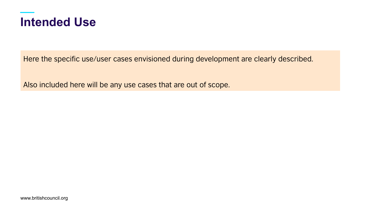

Here the specific use/user cases envisioned during development are clearly described.

Also included here will be any use cases that are out of scope.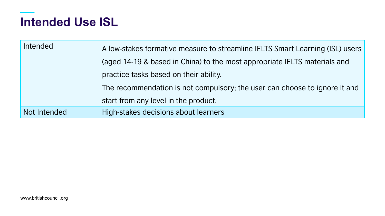#### **Intended Use ISL**

| Intended     | A low-stakes formative measure to streamline IELTS Smart Learning (ISL) users<br>(aged 14-19 & based in China) to the most appropriate IELTS materials and<br>practice tasks based on their ability.<br>The recommendation is not compulsory; the user can choose to ignore it and |
|--------------|------------------------------------------------------------------------------------------------------------------------------------------------------------------------------------------------------------------------------------------------------------------------------------|
|              | start from any level in the product.                                                                                                                                                                                                                                               |
| Not Intended | High-stakes decisions about learners                                                                                                                                                                                                                                               |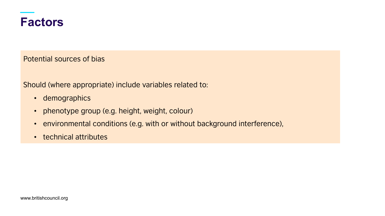

Potential sources of bias

Should (where appropriate) include variables related to:

- demographics
- phenotype group (e.g. height, weight, colour)
- environmental conditions (e.g. with or without background interference),
- technical attributes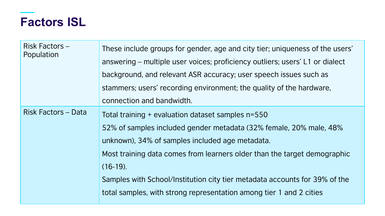#### **Factors ISL**

| Risk Factors-<br>Population | These include groups for gender, age and city tier; uniqueness of the users'<br>answering – multiple user voices; proficiency outliers; users' L1 or dialect<br>background, and relevant ASR accuracy; user speech issues such as<br>stammers; users' recording environment; the quality of the hardware,<br>connection and bandwidth.                                                                                     |
|-----------------------------|----------------------------------------------------------------------------------------------------------------------------------------------------------------------------------------------------------------------------------------------------------------------------------------------------------------------------------------------------------------------------------------------------------------------------|
| <b>Risk Factors - Data</b>  | Total training + evaluation dataset samples n=550<br>52% of samples included gender metadata (32% female, 20% male, 48%<br>unknown), 34% of samples included age metadata.<br>Most training data comes from learners older than the target demographic<br>$(16-19)$ .<br>Samples with School/Institution city tier metadata accounts for 39% of the<br>total samples, with strong representation among tier 1 and 2 cities |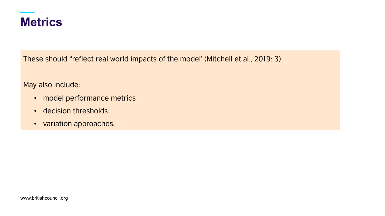

These should "reflect real world impacts of the model' (Mitchell et al., 2019: 3)

May also include:

- model performance metrics
- decision thresholds
- variation approaches.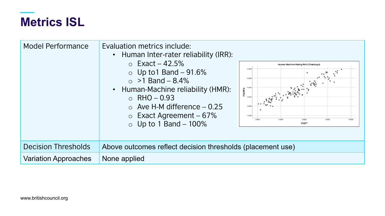#### **Metrics ISL**

| <b>Model Performance</b>    | Evaluation metrics include:<br>• Human Inter-rater reliability (IRR):<br>$\circ$ Exact – 42.5%<br>Human Machine Rating RHO (Training 4)<br>6,0000<br>$\circ$ Up to 1 Band – 91.6%<br>5,0000<br>$\circ$ >1 Band - 8.4%<br>$\mathcal{E}_{\mathcal{S}}$<br>• Human-Machine reliability (HMR):<br>4,0000<br><b>IT4HRFA</b><br>$\circ$ RHO – 0.93<br>$\circ$ Ave H-M difference $-0.25$<br>2,0000<br>$\circ$ Exact Agreement – 67%<br>1,0000<br>2,0000<br>3,0000<br>4,0000<br>5,0000<br>6,0000<br>$\circ$ Up to 1 Band - 100%<br>IT4iFT |
|-----------------------------|------------------------------------------------------------------------------------------------------------------------------------------------------------------------------------------------------------------------------------------------------------------------------------------------------------------------------------------------------------------------------------------------------------------------------------------------------------------------------------------------------------------------------------|
| <b>Decision Thresholds</b>  | Above outcomes reflect decision thresholds (placement use)                                                                                                                                                                                                                                                                                                                                                                                                                                                                         |
| <b>Variation Approaches</b> | None applied                                                                                                                                                                                                                                                                                                                                                                                                                                                                                                                       |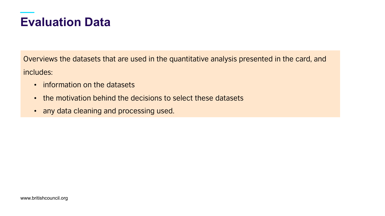#### **Evaluation Data**

Overviews the datasets that are used in the quantitative analysis presented in the card, and includes:

- information on the datasets
- the motivation behind the decisions to select these datasets
- any data cleaning and processing used.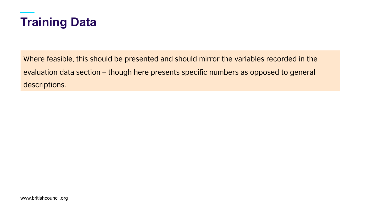

Where feasible, this should be presented and should mirror the variables recorded in the evaluation data section – though here presents specific numbers as opposed to general descriptions.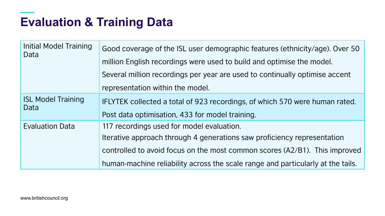#### **Evaluation & Training Data**

| <b>Initial Model Training</b><br>Data | Good coverage of the ISL user demographic features (ethnicity/age). Over 50<br>million English recordings were used to build and optimise the model.<br>Several million recordings per year are used to continually optimise accent<br>representation within the model.               |
|---------------------------------------|---------------------------------------------------------------------------------------------------------------------------------------------------------------------------------------------------------------------------------------------------------------------------------------|
| <b>ISL Model Training</b><br>Data     | IFLYTEK collected a total of 923 recordings, of which 570 were human rated.<br>Post data optimisation, 433 for model training.                                                                                                                                                        |
| <b>Evaluation Data</b>                | 117 recordings used for model evaluation.<br>Iterative approach through 4 generations saw proficiency representation<br>controlled to avoid focus on the most common scores (A2/B1). This improved<br>human-machine reliability across the scale range and particularly at the tails. |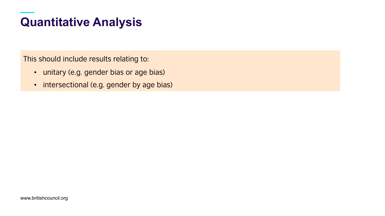#### **Quantitative Analysis**

This should include results relating to:

- unitary (e.g. gender bias or age bias)
- intersectional (e.g. gender by age bias)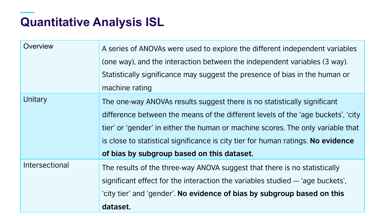#### **Quantitative Analysis ISL**

| Overview       | A series of ANOVAs were used to explore the different independent variables<br>(one way), and the interaction between the independent variables (3 way).<br>Statistically significance may suggest the presence of bias in the human or<br>machine rating                                                                                                                         |
|----------------|-----------------------------------------------------------------------------------------------------------------------------------------------------------------------------------------------------------------------------------------------------------------------------------------------------------------------------------------------------------------------------------|
| Unitary        | The one-way ANOVAs results suggest there is no statistically significant<br>difference between the means of the different levels of the 'age buckets', 'city<br>tier' or 'gender' in either the human or machine scores. The only variable that<br>is close to statistical significance is city tier for human ratings. No evidence<br>of bias by subgroup based on this dataset. |
| Intersectional | The results of the three-way ANOVA suggest that there is no statistically<br>significant effect for the interaction the variables studied — 'age buckets',<br>'city tier' and 'gender'. No evidence of bias by subgroup based on this<br>dataset.                                                                                                                                 |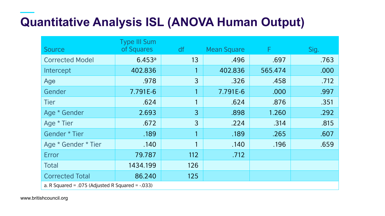#### **Quantitative Analysis ISL (ANOVA Human Output)**

| Source                                               | <b>Type III Sum</b><br>of Squares | df             | <b>Mean Square</b> | F       | Sig. |
|------------------------------------------------------|-----------------------------------|----------------|--------------------|---------|------|
| <b>Corrected Model</b>                               | 6.453a                            | 13             | .496               | .697    | .763 |
| Intercept                                            | 402.836                           |                | 402.836            | 565.474 | .000 |
| Age                                                  | .978                              | $\overline{3}$ | .326               | .458    | .712 |
| Gender                                               | 7.791E-6                          |                | 7.791E-6           | .000    | .997 |
| <b>Tier</b>                                          | .624                              |                | .624               | .876    | .351 |
| Age * Gender                                         | 2.693                             | $\overline{3}$ | .898               | 1.260   | .292 |
| Age * Tier                                           | .672                              | $\overline{3}$ | .224               | .314    | .815 |
| Gender * Tier                                        | .189                              |                | .189               | .265    | .607 |
| Age * Gender * Tier                                  | .140                              |                | .140               | .196    | .659 |
| Error                                                | 79.787                            | 112            | .712               |         |      |
| <b>Total</b>                                         | 1434.199                          | 126            |                    |         |      |
| <b>Corrected Total</b>                               | 86.240                            | 125            |                    |         |      |
| a. R Squared = .075 (Adjusted R Squared = $-0.033$ ) |                                   |                |                    |         |      |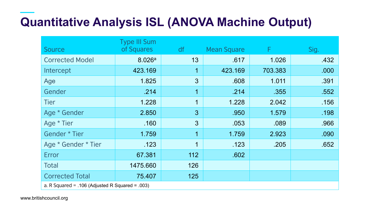#### **Quantitative Analysis ISL (ANOVA Machine Output)**

| <b>Source</b>                                   | <b>Type III Sum</b><br>of Squares | df             | <b>Mean Square</b> | F.      | Sig. |
|-------------------------------------------------|-----------------------------------|----------------|--------------------|---------|------|
| <b>Corrected Model</b>                          | 8.026 <sup>a</sup>                | 13             | .617               | 1.026   | .432 |
| Intercept                                       | 423.169                           | 1              | 423.169            | 703.383 | .000 |
| Age                                             | 1.825                             | $\overline{3}$ | .608               | 1.011   | .391 |
| Gender                                          | .214                              | 1              | .214               | .355    | .552 |
| <b>Tier</b>                                     | 1.228                             | $\mathbf 1$    | 1.228              | 2.042   | .156 |
| Age * Gender                                    | 2.850                             | $\overline{3}$ | .950               | 1.579   | .198 |
| Age * Tier                                      | .160                              | $\overline{3}$ | .053               | .089    | .966 |
| Gender * Tier                                   | 1.759                             | 1              | 1.759              | 2.923   | .090 |
| Age * Gender * Tier                             | .123                              | 1              | .123               | .205    | .652 |
| Error                                           | 67.381                            | 112            | .602               |         |      |
| <b>Total</b>                                    | 1475.660                          | 126            |                    |         |      |
| <b>Corrected Total</b>                          | 75.407                            | 125            |                    |         |      |
| a. R Squared = .106 (Adjusted R Squared = .003) |                                   |                |                    |         |      |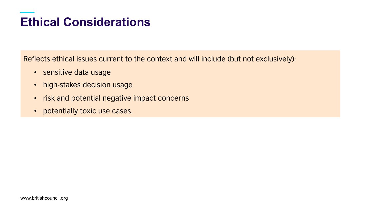#### **Ethical Considerations**

Reflects ethical issues current to the context and will include (but not exclusively):

- sensitive data usage
- high-stakes decision usage
- risk and potential negative impact concerns
- potentially toxic use cases.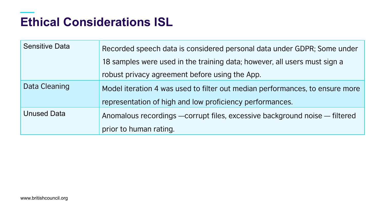#### **Ethical Considerations ISL**

| <b>Sensitive Data</b> | Recorded speech data is considered personal data under GDPR; Some under      |
|-----------------------|------------------------------------------------------------------------------|
|                       | 18 samples were used in the training data; however, all users must sign a    |
|                       | robust privacy agreement before using the App.                               |
| Data Cleaning         | Model iteration 4 was used to filter out median performances, to ensure more |
|                       | representation of high and low proficiency performances.                     |
| <b>Unused Data</b>    | Anomalous recordings - corrupt files, excessive background noise - filtered  |
|                       | prior to human rating.                                                       |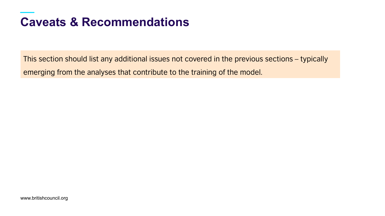#### **Caveats & Recommendations**

This section should list any additional issues not covered in the previous sections – typically emerging from the analyses that contribute to the training of the model.